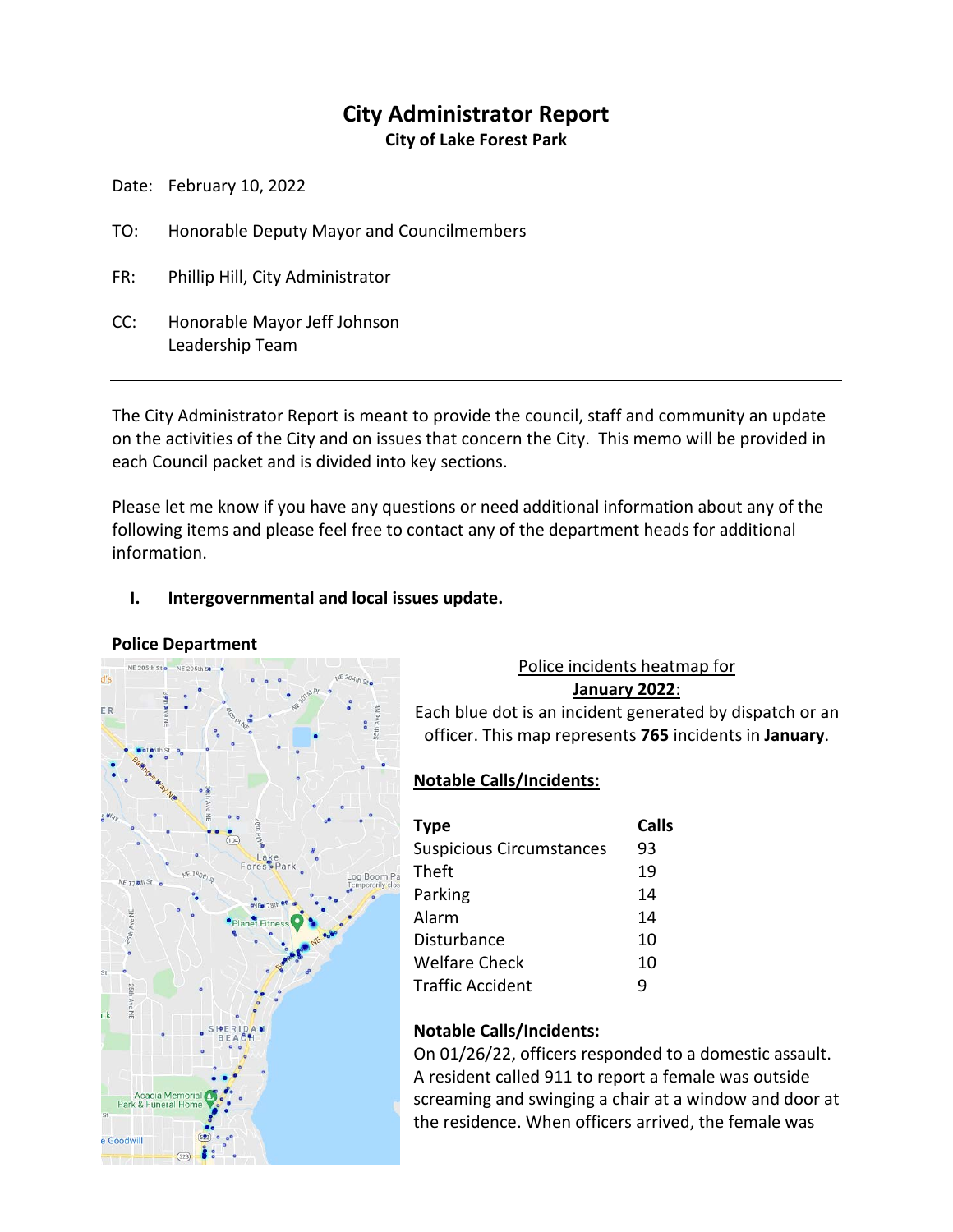# **City Administrator Report**

**City of Lake Forest Park**

Date: February 10, 2022

- TO: Honorable Deputy Mayor and Councilmembers
- FR: Phillip Hill, City Administrator
- CC: Honorable Mayor Jeff Johnson Leadership Team

The City Administrator Report is meant to provide the council, staff and community an update on the activities of the City and on issues that concern the City. This memo will be provided in each Council packet and is divided into key sections.

Please let me know if you have any questions or need additional information about any of the following items and please feel free to contact any of the department heads for additional information.

# **I. Intergovernmental and local issues update.**

#### **Police Department**



# Police incidents heatmap for

**January 2022**:

Each blue dot is an incident generated by dispatch or an officer. This map represents **765** incidents in **January**.

# **Notable Calls/Incidents:**

| <b>Type</b>                     | Calls |
|---------------------------------|-------|
| <b>Suspicious Circumstances</b> | 93    |
| Theft                           | 19    |
| Parking                         | 14    |
| Alarm                           | 14    |
| Disturbance                     | 10    |
| Welfare Check                   | 10    |
| <b>Traffic Accident</b>         | q     |

# **Notable Calls/Incidents:**

On 01/26/22, officers responded to a domestic assault. A resident called 911 to report a female was outside screaming and swinging a chair at a window and door at the residence. When officers arrived, the female was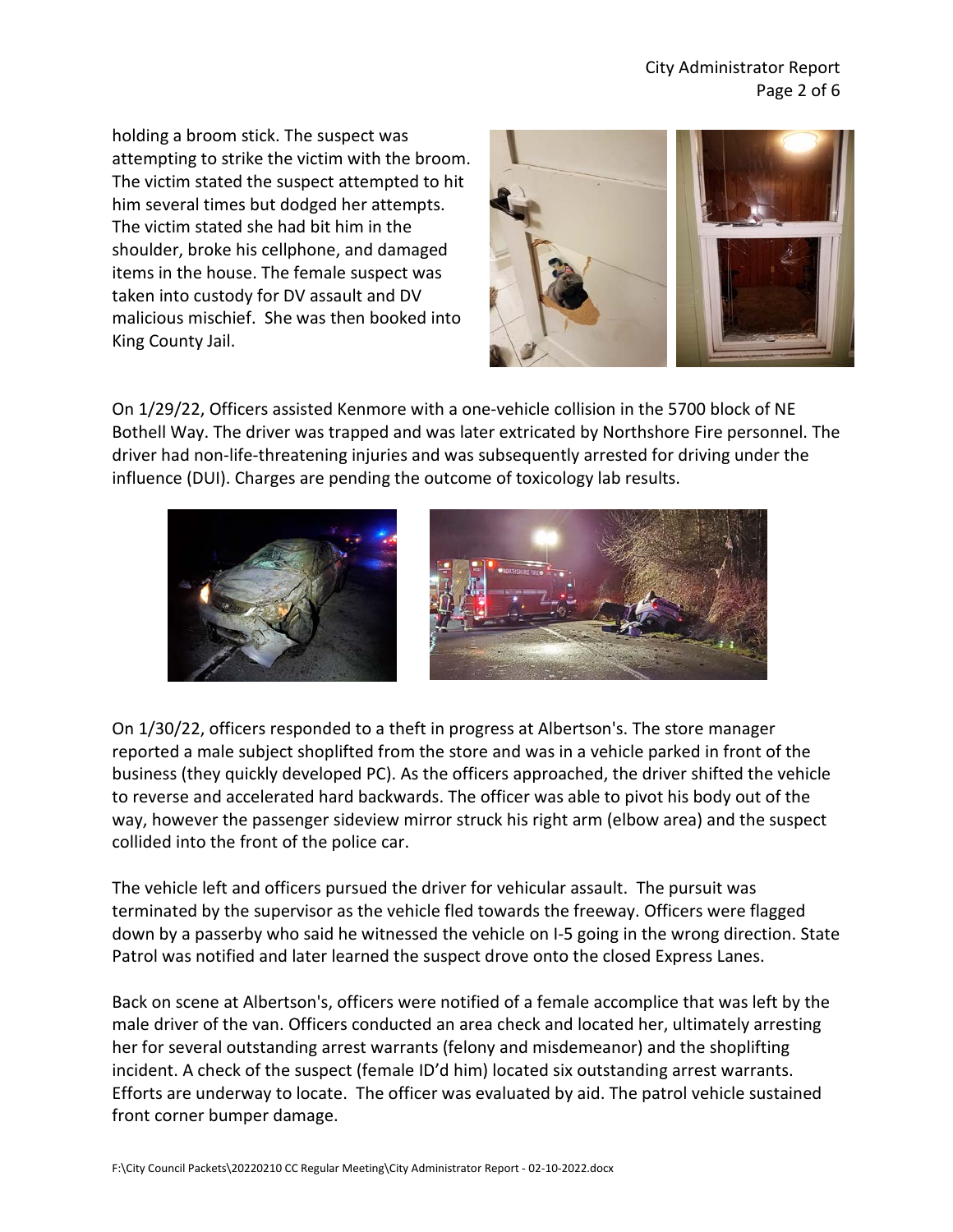holding a broom stick. The suspect was attempting to strike the victim with the broom. The victim stated the suspect attempted to hit him several times but dodged her attempts. The victim stated she had bit him in the shoulder, broke his cellphone, and damaged items in the house. The female suspect was taken into custody for DV assault and DV malicious mischief. She was then booked into King County Jail.



On 1/29/22, Officers assisted Kenmore with a one-vehicle collision in the 5700 block of NE Bothell Way. The driver was trapped and was later extricated by Northshore Fire personnel. The driver had non-life-threatening injuries and was subsequently arrested for driving under the influence (DUI). Charges are pending the outcome of toxicology lab results.



On 1/30/22, officers responded to a theft in progress at Albertson's. The store manager reported a male subject shoplifted from the store and was in a vehicle parked in front of the business (they quickly developed PC). As the officers approached, the driver shifted the vehicle to reverse and accelerated hard backwards. The officer was able to pivot his body out of the way, however the passenger sideview mirror struck his right arm (elbow area) and the suspect collided into the front of the police car.

The vehicle left and officers pursued the driver for vehicular assault. The pursuit was terminated by the supervisor as the vehicle fled towards the freeway. Officers were flagged down by a passerby who said he witnessed the vehicle on I-5 going in the wrong direction. State Patrol was notified and later learned the suspect drove onto the closed Express Lanes.

Back on scene at Albertson's, officers were notified of a female accomplice that was left by the male driver of the van. Officers conducted an area check and located her, ultimately arresting her for several outstanding arrest warrants (felony and misdemeanor) and the shoplifting incident. A check of the suspect (female ID'd him) located six outstanding arrest warrants. Efforts are underway to locate. The officer was evaluated by aid. The patrol vehicle sustained front corner bumper damage.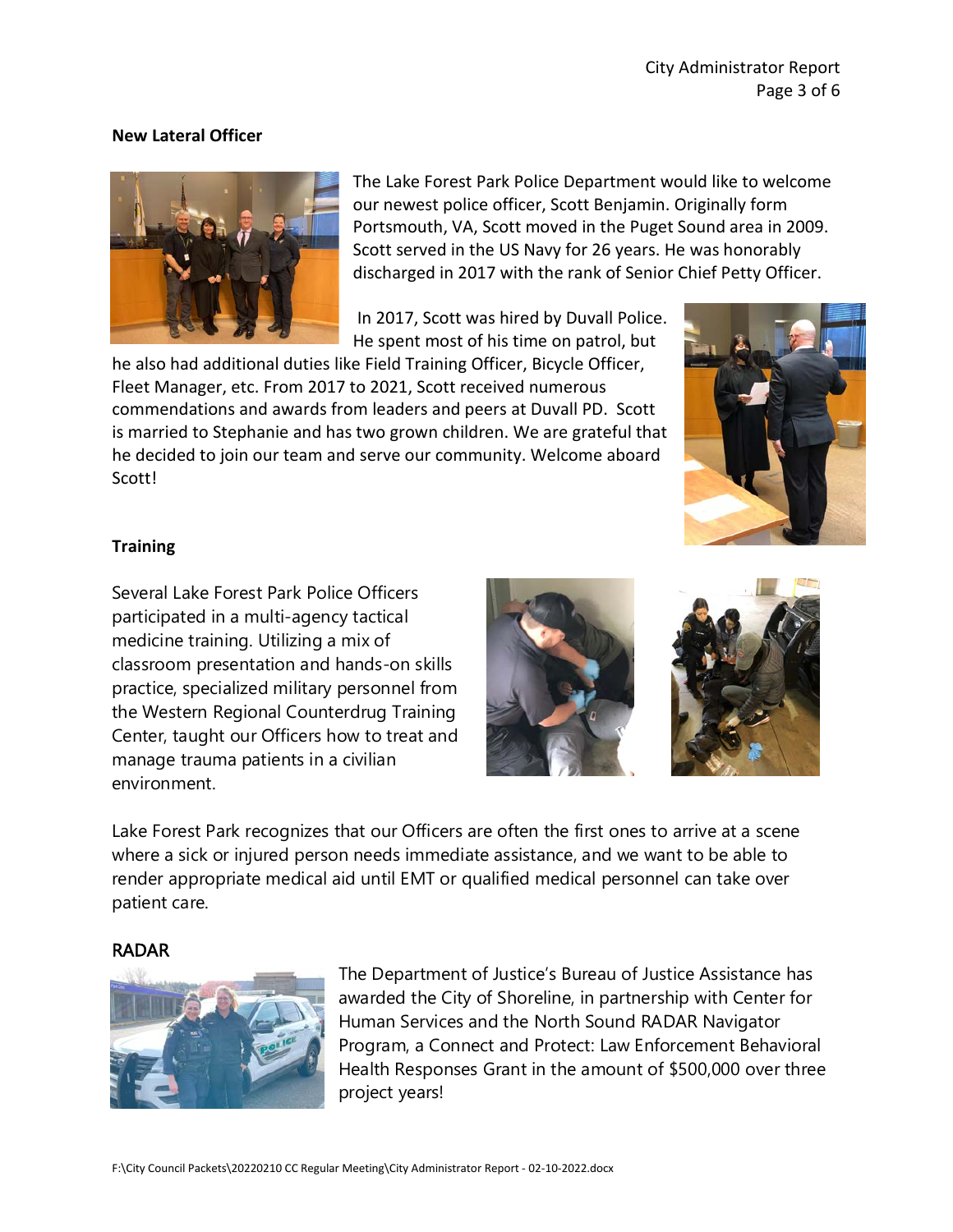#### **New Lateral Officer**



The Lake Forest Park Police Department would like to welcome our newest police officer, Scott Benjamin. Originally form Portsmouth, VA, Scott moved in the Puget Sound area in 2009. Scott served in the US Navy for 26 years. He was honorably discharged in 2017 with the rank of Senior Chief Petty Officer.

In 2017, Scott was hired by Duvall Police. He spent most of his time on patrol, but

he also had additional duties like Field Training Officer, Bicycle Officer, Fleet Manager, etc. From 2017 to 2021, Scott received numerous commendations and awards from leaders and peers at Duvall PD. Scott is married to Stephanie and has two grown children. We are grateful that he decided to join our team and serve our community. Welcome aboard Scott!



#### **Training**

Several Lake Forest Park Police Officers participated in a multi-agency tactical medicine training. Utilizing a mix of classroom presentation and hands-on skills practice, specialized military personnel from the Western Regional Counterdrug Training Center, taught our Officers how to treat and manage trauma patients in a civilian environment.





Lake Forest Park recognizes that our Officers are often the first ones to arrive at a scene where a sick or injured person needs immediate assistance, and we want to be able to render appropriate medical aid until EMT or qualified medical personnel can take over patient care.

#### RADAR



The Department of Justice's Bureau of Justice Assistance has awarded the City of Shoreline, in partnership with Center for Human Services and the North Sound RADAR Navigator Program, a Connect and Protect: Law Enforcement Behavioral Health Responses Grant in the amount of \$500,000 over three project years!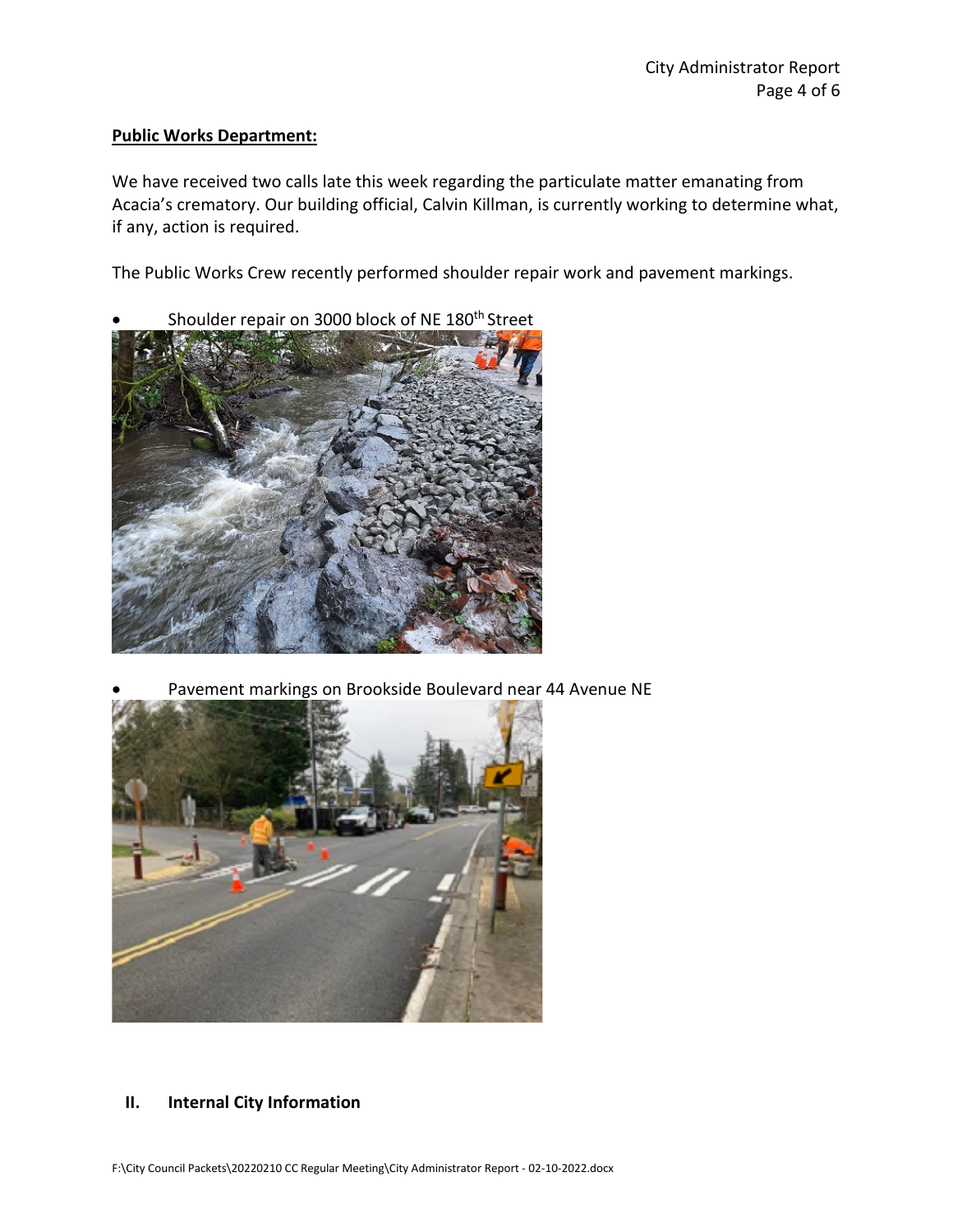#### **Public Works Department:**

We have received two calls late this week regarding the particulate matter emanating from Acacia's crematory. Our building official, Calvin Killman, is currently working to determine what, if any, action is required.

The Public Works Crew recently performed shoulder repair work and pavement markings.

Shoulder repair on 3000 block of NE 180<sup>th</sup> Street



• Pavement markings on Brookside Boulevard near 44 Avenue NE



#### **II. Internal City Information**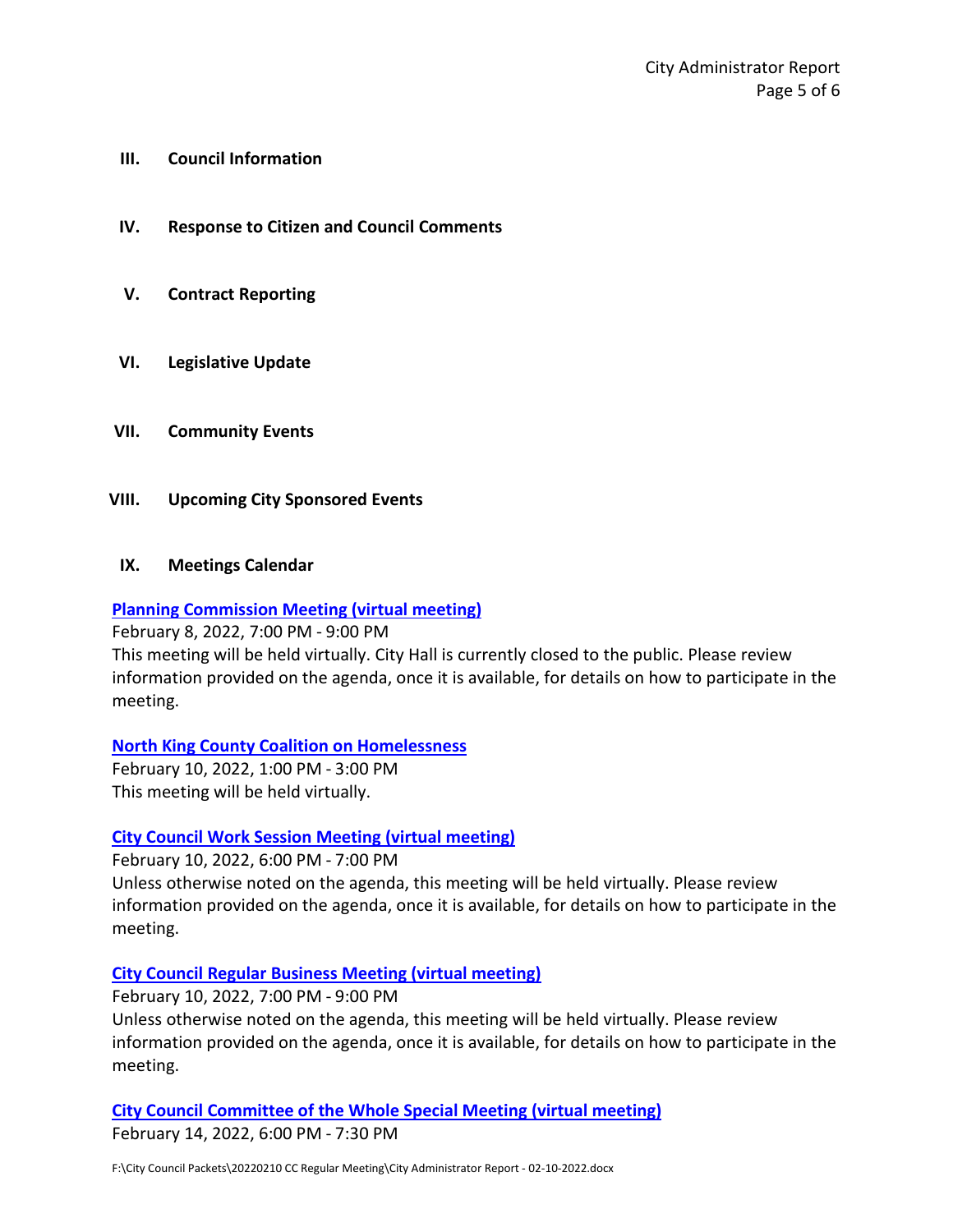- **III. Council Information**
- **IV. Response to Citizen and Council Comments**
- **V. Contract Reporting**
- **VI. Legislative Update**
- **VII. Community Events**
- **VIII. Upcoming City Sponsored Events**
- **IX. Meetings Calendar**

#### **[Planning Commission Meeting \(virtual meeting\)](https://www.cityoflfp.com/Calendar.aspx?EID=2289&month=2&year=2022&day=4&calType=0)**

February 8, 2022, 7:00 PM - 9:00 PM

This meeting will be held virtually. City Hall is currently closed to the public. Please review information provided on the agenda, once it is available, for details on how to participate in the meeting.

#### **[North King County Coalition on Homelessness](https://www.cityoflfp.com/Calendar.aspx?EID=2265&month=2&year=2022&day=4&calType=0)**

February 10, 2022, 1:00 PM - 3:00 PM This meeting will be held virtually.

#### **[City Council Work Session Meeting \(virtual meeting\)](https://www.cityoflfp.com/Calendar.aspx?EID=2181&month=2&year=2022&day=4&calType=0)**

February 10, 2022, 6:00 PM - 7:00 PM

Unless otherwise noted on the agenda, this meeting will be held virtually. Please review information provided on the agenda, once it is available, for details on how to participate in the meeting.

#### **[City Council Regular Business Meeting \(virtual meeting\)](https://www.cityoflfp.com/Calendar.aspx?EID=2193&month=2&year=2022&day=4&calType=0)**

February 10, 2022, 7:00 PM - 9:00 PM

Unless otherwise noted on the agenda, this meeting will be held virtually. Please review information provided on the agenda, once it is available, for details on how to participate in the meeting.

**[City Council Committee of the Whole Special Meeting \(virtual meeting\)](https://www.cityoflfp.com/Calendar.aspx?EID=2238&month=2&year=2022&day=4&calType=0)** February 14, 2022, 6:00 PM - 7:30 PM